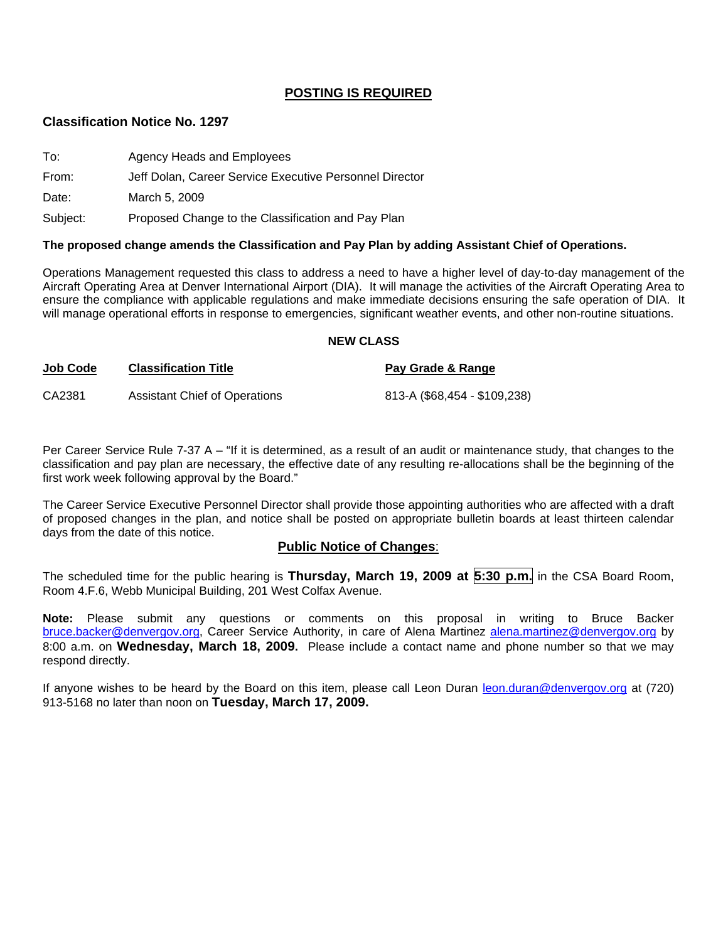### **POSTING IS REQUIRED**

#### **Classification Notice No. 1297**

| To:      | Agency Heads and Employees                              |
|----------|---------------------------------------------------------|
| From:    | Jeff Dolan, Career Service Executive Personnel Director |
| Date:    | March 5, 2009                                           |
| Subject: | Proposed Change to the Classification and Pay Plan      |

#### **The proposed change amends the Classification and Pay Plan by adding Assistant Chief of Operations.**

Operations Management requested this class to address a need to have a higher level of day-to-day management of the Aircraft Operating Area at Denver International Airport (DIA). It will manage the activities of the Aircraft Operating Area to ensure the compliance with applicable regulations and make immediate decisions ensuring the safe operation of DIA. It will manage operational efforts in response to emergencies, significant weather events, and other non-routine situations.

#### **NEW CLASS**

| <b>Job Code</b> | <b>Classification Title</b>   | Pay Grade & Range            |
|-----------------|-------------------------------|------------------------------|
| CA2381          | Assistant Chief of Operations | 813-A (\$68,454 - \$109,238) |

Per Career Service Rule 7-37 A – "If it is determined, as a result of an audit or maintenance study, that changes to the classification and pay plan are necessary, the effective date of any resulting re-allocations shall be the beginning of the first work week following approval by the Board."

The Career Service Executive Personnel Director shall provide those appointing authorities who are affected with a draft of proposed changes in the plan, and notice shall be posted on appropriate bulletin boards at least thirteen calendar days from the date of this notice.

#### **Public Notice of Changes**:

The scheduled time for the public hearing is **Thursday, March 19, 2009 at 5:30 p.m.** in the CSA Board Room, Room 4.F.6, Webb Municipal Building, 201 West Colfax Avenue.

**Note:** Please submit any questions or comments on this proposal in writing to Bruce Backer [bruce.backer@denvergov.org,](mailto:bruce.backer@denvergov.org) Career Service Authority, in care of Alena Martinez [alena.martinez@denvergov.org](mailto:alena.martinez@denvergov.org) by 8:00 a.m. on **Wednesday, March 18, 2009.** Please include a contact name and phone number so that we may respond directly.

If anyone wishes to be heard by the Board on this item, please call Leon Duran [leon.duran@denvergov.org](mailto:leon.duran@denvergov.org) at (720) 913-5168 no later than noon on **Tuesday, March 17, 2009.**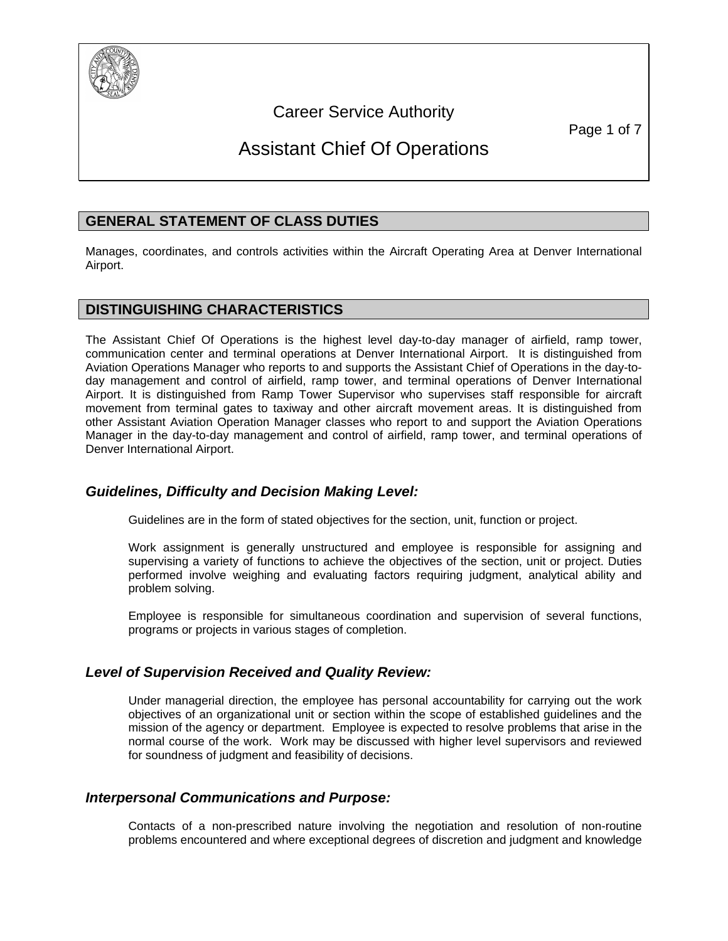

Career Service Authority

# Assistant Chief Of Operations

# **GENERAL STATEMENT OF CLASS DUTIES**

Manages, coordinates, and controls activities within the Aircraft Operating Area at Denver International Airport.

# **DISTINGUISHING CHARACTERISTICS**

The Assistant Chief Of Operations is the highest level day-to-day manager of airfield, ramp tower, communication center and terminal operations at Denver International Airport. It is distinguished from Aviation Operations Manager who reports to and supports the Assistant Chief of Operations in the day-today management and control of airfield, ramp tower, and terminal operations of Denver International Airport. It is distinguished from Ramp Tower Supervisor who supervises staff responsible for aircraft movement from terminal gates to taxiway and other aircraft movement areas. It is distinguished from other Assistant Aviation Operation Manager classes who report to and support the Aviation Operations Manager in the day-to-day management and control of airfield, ramp tower, and terminal operations of Denver International Airport.

## *Guidelines, Difficulty and Decision Making Level:*

Guidelines are in the form of stated objectives for the section, unit, function or project.

Work assignment is generally unstructured and employee is responsible for assigning and supervising a variety of functions to achieve the objectives of the section, unit or project. Duties performed involve weighing and evaluating factors requiring judgment, analytical ability and problem solving.

Employee is responsible for simultaneous coordination and supervision of several functions, programs or projects in various stages of completion.

## *Level of Supervision Received and Quality Review:*

Under managerial direction, the employee has personal accountability for carrying out the work objectives of an organizational unit or section within the scope of established guidelines and the mission of the agency or department. Employee is expected to resolve problems that arise in the normal course of the work. Work may be discussed with higher level supervisors and reviewed for soundness of judgment and feasibility of decisions.

## *Interpersonal Communications and Purpose:*

Contacts of a non-prescribed nature involving the negotiation and resolution of non-routine problems encountered and where exceptional degrees of discretion and judgment and knowledge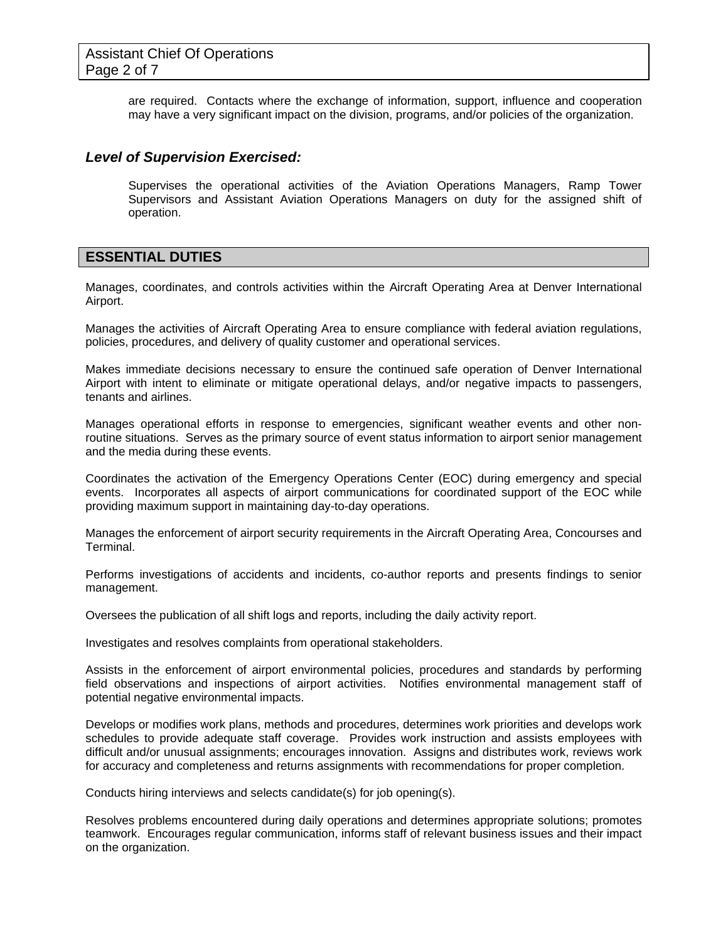are required. Contacts where the exchange of information, support, influence and cooperation may have a very significant impact on the division, programs, and/or policies of the organization.

#### *Level of Supervision Exercised:*

Supervises the operational activities of the Aviation Operations Managers, Ramp Tower Supervisors and Assistant Aviation Operations Managers on duty for the assigned shift of operation.

### **ESSENTIAL DUTIES**

Manages, coordinates, and controls activities within the Aircraft Operating Area at Denver International Airport.

Manages the activities of Aircraft Operating Area to ensure compliance with federal aviation regulations, policies, procedures, and delivery of quality customer and operational services.

Makes immediate decisions necessary to ensure the continued safe operation of Denver International Airport with intent to eliminate or mitigate operational delays, and/or negative impacts to passengers, tenants and airlines.

Manages operational efforts in response to emergencies, significant weather events and other nonroutine situations. Serves as the primary source of event status information to airport senior management and the media during these events.

Coordinates the activation of the Emergency Operations Center (EOC) during emergency and special events. Incorporates all aspects of airport communications for coordinated support of the EOC while providing maximum support in maintaining day-to-day operations.

Manages the enforcement of airport security requirements in the Aircraft Operating Area, Concourses and Terminal.

Performs investigations of accidents and incidents, co-author reports and presents findings to senior management.

Oversees the publication of all shift logs and reports, including the daily activity report.

Investigates and resolves complaints from operational stakeholders.

Assists in the enforcement of airport environmental policies, procedures and standards by performing field observations and inspections of airport activities. Notifies environmental management staff of potential negative environmental impacts.

Develops or modifies work plans, methods and procedures, determines work priorities and develops work schedules to provide adequate staff coverage. Provides work instruction and assists employees with difficult and/or unusual assignments; encourages innovation. Assigns and distributes work, reviews work for accuracy and completeness and returns assignments with recommendations for proper completion.

Conducts hiring interviews and selects candidate(s) for job opening(s).

Resolves problems encountered during daily operations and determines appropriate solutions; promotes teamwork. Encourages regular communication, informs staff of relevant business issues and their impact on the organization.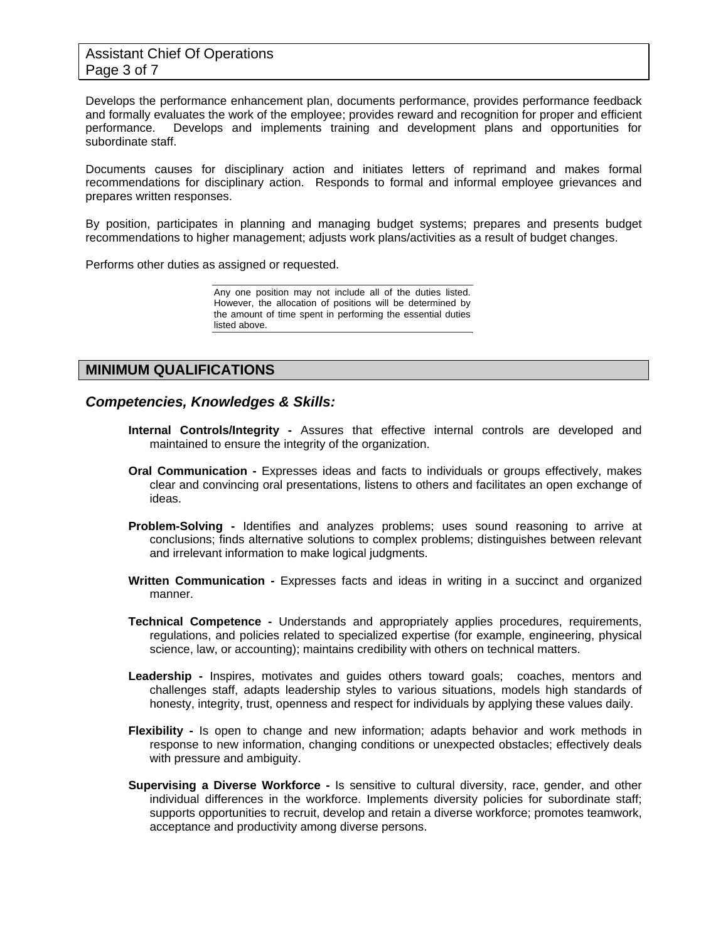Assistant Chief Of Operations Page 3 of 7

Develops the performance enhancement plan, documents performance, provides performance feedback and formally evaluates the work of the employee; provides reward and recognition for proper and efficient performance. Develops and implements training and development plans and opportunities for subordinate staff.

Documents causes for disciplinary action and initiates letters of reprimand and makes formal recommendations for disciplinary action. Responds to formal and informal employee grievances and prepares written responses.

By position, participates in planning and managing budget systems; prepares and presents budget recommendations to higher management; adjusts work plans/activities as a result of budget changes.

Performs other duties as assigned or requested.

Any one position may not include all of the duties listed. However, the allocation of positions will be determined by the amount of time spent in performing the essential duties listed above.

### **MINIMUM QUALIFICATIONS**

#### *Competencies, Knowledges & Skills:*

- **Internal Controls/Integrity** Assures that effective internal controls are developed and maintained to ensure the integrity of the organization.
- **Oral Communication** Expresses ideas and facts to individuals or groups effectively, makes clear and convincing oral presentations, listens to others and facilitates an open exchange of ideas.
- **Problem-Solving** Identifies and analyzes problems; uses sound reasoning to arrive at conclusions; finds alternative solutions to complex problems; distinguishes between relevant and irrelevant information to make logical judgments.
- **Written Communication** Expresses facts and ideas in writing in a succinct and organized manner.
- **Technical Competence** Understands and appropriately applies procedures, requirements, regulations, and policies related to specialized expertise (for example, engineering, physical science, law, or accounting); maintains credibility with others on technical matters.
- Leadership Inspires, motivates and guides others toward goals; coaches, mentors and challenges staff, adapts leadership styles to various situations, models high standards of honesty, integrity, trust, openness and respect for individuals by applying these values daily.
- **Flexibility** Is open to change and new information; adapts behavior and work methods in response to new information, changing conditions or unexpected obstacles; effectively deals with pressure and ambiguity.
- **Supervising a Diverse Workforce** Is sensitive to cultural diversity, race, gender, and other individual differences in the workforce. Implements diversity policies for subordinate staff; supports opportunities to recruit, develop and retain a diverse workforce; promotes teamwork, acceptance and productivity among diverse persons.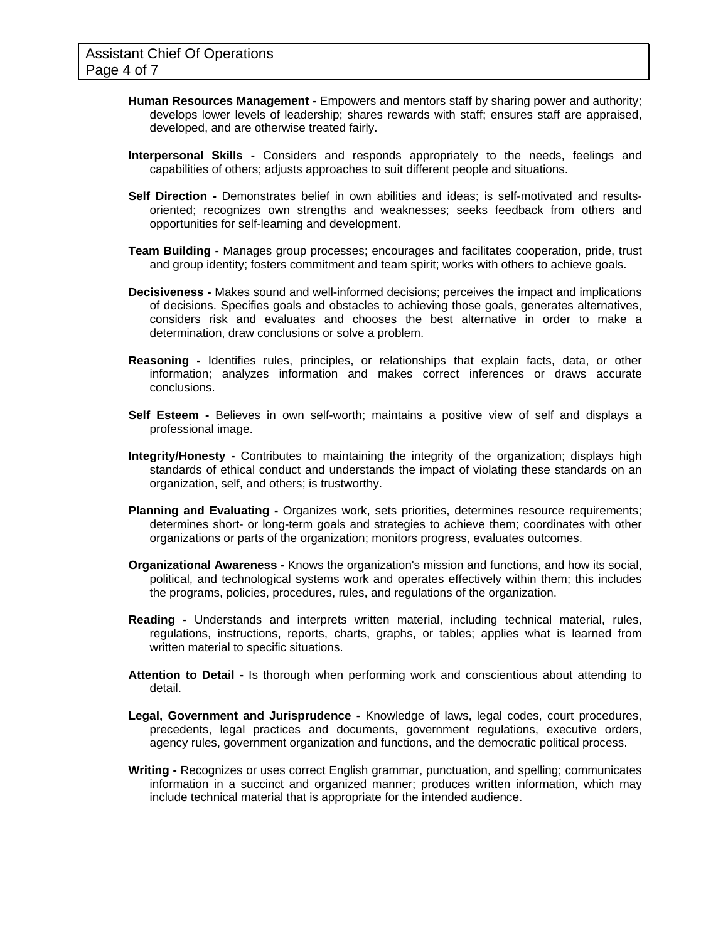- **Human Resources Management** Empowers and mentors staff by sharing power and authority; develops lower levels of leadership; shares rewards with staff; ensures staff are appraised, developed, and are otherwise treated fairly.
- **Interpersonal Skills** Considers and responds appropriately to the needs, feelings and capabilities of others; adjusts approaches to suit different people and situations.
- **Self Direction** Demonstrates belief in own abilities and ideas; is self-motivated and resultsoriented; recognizes own strengths and weaknesses; seeks feedback from others and opportunities for self-learning and development.
- **Team Building** Manages group processes; encourages and facilitates cooperation, pride, trust and group identity; fosters commitment and team spirit; works with others to achieve goals.
- **Decisiveness** Makes sound and well-informed decisions; perceives the impact and implications of decisions. Specifies goals and obstacles to achieving those goals, generates alternatives, considers risk and evaluates and chooses the best alternative in order to make a determination, draw conclusions or solve a problem.
- **Reasoning** Identifies rules, principles, or relationships that explain facts, data, or other information; analyzes information and makes correct inferences or draws accurate conclusions.
- **Self Esteem** Believes in own self-worth; maintains a positive view of self and displays a professional image.
- **Integrity/Honesty** Contributes to maintaining the integrity of the organization; displays high standards of ethical conduct and understands the impact of violating these standards on an organization, self, and others; is trustworthy.
- **Planning and Evaluating** Organizes work, sets priorities, determines resource requirements; determines short- or long-term goals and strategies to achieve them; coordinates with other organizations or parts of the organization; monitors progress, evaluates outcomes.
- **Organizational Awareness** Knows the organization's mission and functions, and how its social, political, and technological systems work and operates effectively within them; this includes the programs, policies, procedures, rules, and regulations of the organization.
- **Reading** Understands and interprets written material, including technical material, rules, regulations, instructions, reports, charts, graphs, or tables; applies what is learned from written material to specific situations.
- **Attention to Detail** Is thorough when performing work and conscientious about attending to detail.
- **Legal, Government and Jurisprudence** Knowledge of laws, legal codes, court procedures, precedents, legal practices and documents, government regulations, executive orders, agency rules, government organization and functions, and the democratic political process.
- **Writing** Recognizes or uses correct English grammar, punctuation, and spelling; communicates information in a succinct and organized manner; produces written information, which may include technical material that is appropriate for the intended audience.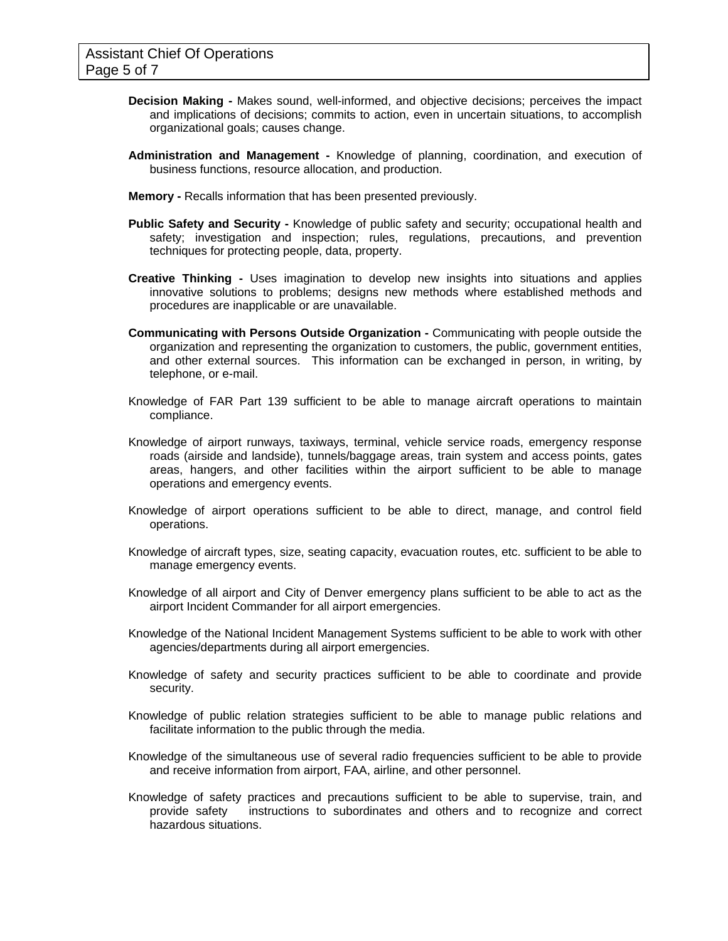- **Decision Making** Makes sound, well-informed, and objective decisions; perceives the impact and implications of decisions; commits to action, even in uncertain situations, to accomplish organizational goals; causes change.
- **Administration and Management** Knowledge of planning, coordination, and execution of business functions, resource allocation, and production.
- **Memory** Recalls information that has been presented previously.
- **Public Safety and Security** Knowledge of public safety and security; occupational health and safety; investigation and inspection; rules, regulations, precautions, and prevention techniques for protecting people, data, property.
- **Creative Thinking** Uses imagination to develop new insights into situations and applies innovative solutions to problems; designs new methods where established methods and procedures are inapplicable or are unavailable.
- **Communicating with Persons Outside Organization** Communicating with people outside the organization and representing the organization to customers, the public, government entities, and other external sources. This information can be exchanged in person, in writing, by telephone, or e-mail.
- Knowledge of FAR Part 139 sufficient to be able to manage aircraft operations to maintain compliance.
- Knowledge of airport runways, taxiways, terminal, vehicle service roads, emergency response roads (airside and landside), tunnels/baggage areas, train system and access points, gates areas, hangers, and other facilities within the airport sufficient to be able to manage operations and emergency events.
- Knowledge of airport operations sufficient to be able to direct, manage, and control field operations.
- Knowledge of aircraft types, size, seating capacity, evacuation routes, etc. sufficient to be able to manage emergency events.
- Knowledge of all airport and City of Denver emergency plans sufficient to be able to act as the airport Incident Commander for all airport emergencies.
- Knowledge of the National Incident Management Systems sufficient to be able to work with other agencies/departments during all airport emergencies.
- Knowledge of safety and security practices sufficient to be able to coordinate and provide security.
- Knowledge of public relation strategies sufficient to be able to manage public relations and facilitate information to the public through the media.
- Knowledge of the simultaneous use of several radio frequencies sufficient to be able to provide and receive information from airport, FAA, airline, and other personnel.
- Knowledge of safety practices and precautions sufficient to be able to supervise, train, and provide safety instructions to subordinates and others and to recognize and correct hazardous situations.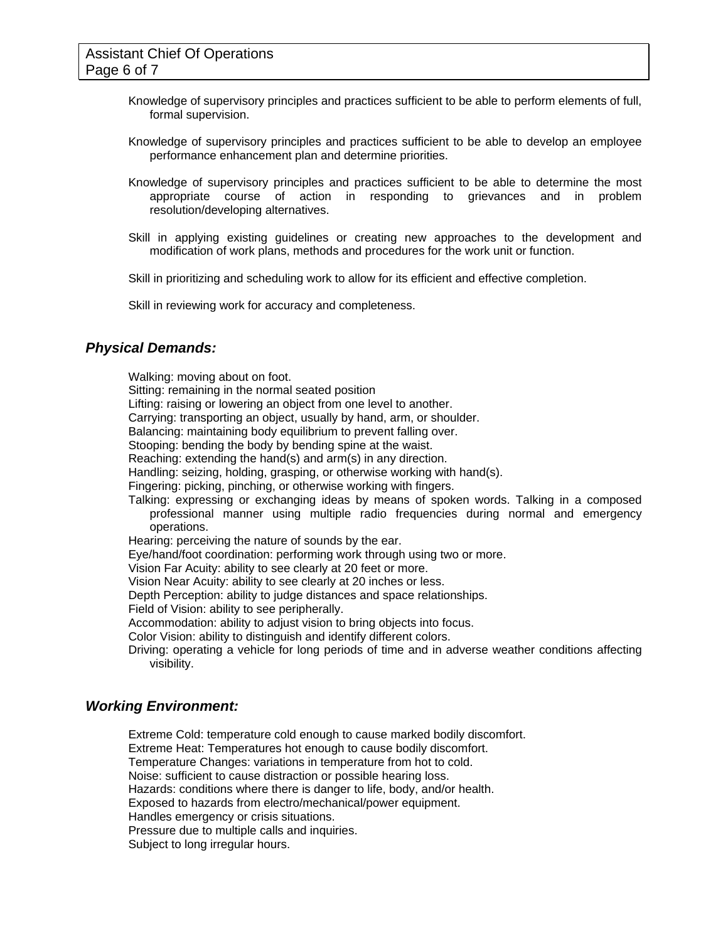- Knowledge of supervisory principles and practices sufficient to be able to perform elements of full, formal supervision.
- Knowledge of supervisory principles and practices sufficient to be able to develop an employee performance enhancement plan and determine priorities.
- Knowledge of supervisory principles and practices sufficient to be able to determine the most appropriate course of action in responding to grievances and in problem resolution/developing alternatives.
- Skill in applying existing guidelines or creating new approaches to the development and modification of work plans, methods and procedures for the work unit or function.

Skill in prioritizing and scheduling work to allow for its efficient and effective completion.

Skill in reviewing work for accuracy and completeness.

#### *Physical Demands:*

Walking: moving about on foot. Sitting: remaining in the normal seated position Lifting: raising or lowering an object from one level to another. Carrying: transporting an object, usually by hand, arm, or shoulder. Balancing: maintaining body equilibrium to prevent falling over. Stooping: bending the body by bending spine at the waist. Reaching: extending the hand(s) and arm(s) in any direction. Handling: seizing, holding, grasping, or otherwise working with hand(s). Fingering: picking, pinching, or otherwise working with fingers. Talking: expressing or exchanging ideas by means of spoken words. Talking in a composed professional manner using multiple radio frequencies during normal and emergency operations. Hearing: perceiving the nature of sounds by the ear. Eye/hand/foot coordination: performing work through using two or more. Vision Far Acuity: ability to see clearly at 20 feet or more. Vision Near Acuity: ability to see clearly at 20 inches or less. Depth Perception: ability to judge distances and space relationships. Field of Vision: ability to see peripherally. Accommodation: ability to adjust vision to bring objects into focus. Color Vision: ability to distinguish and identify different colors. Driving: operating a vehicle for long periods of time and in adverse weather conditions affecting visibility.

#### *Working Environment:*

Extreme Cold: temperature cold enough to cause marked bodily discomfort. Extreme Heat: Temperatures hot enough to cause bodily discomfort. Temperature Changes: variations in temperature from hot to cold. Noise: sufficient to cause distraction or possible hearing loss. Hazards: conditions where there is danger to life, body, and/or health. Exposed to hazards from electro/mechanical/power equipment. Handles emergency or crisis situations. Pressure due to multiple calls and inquiries. Subject to long irregular hours.